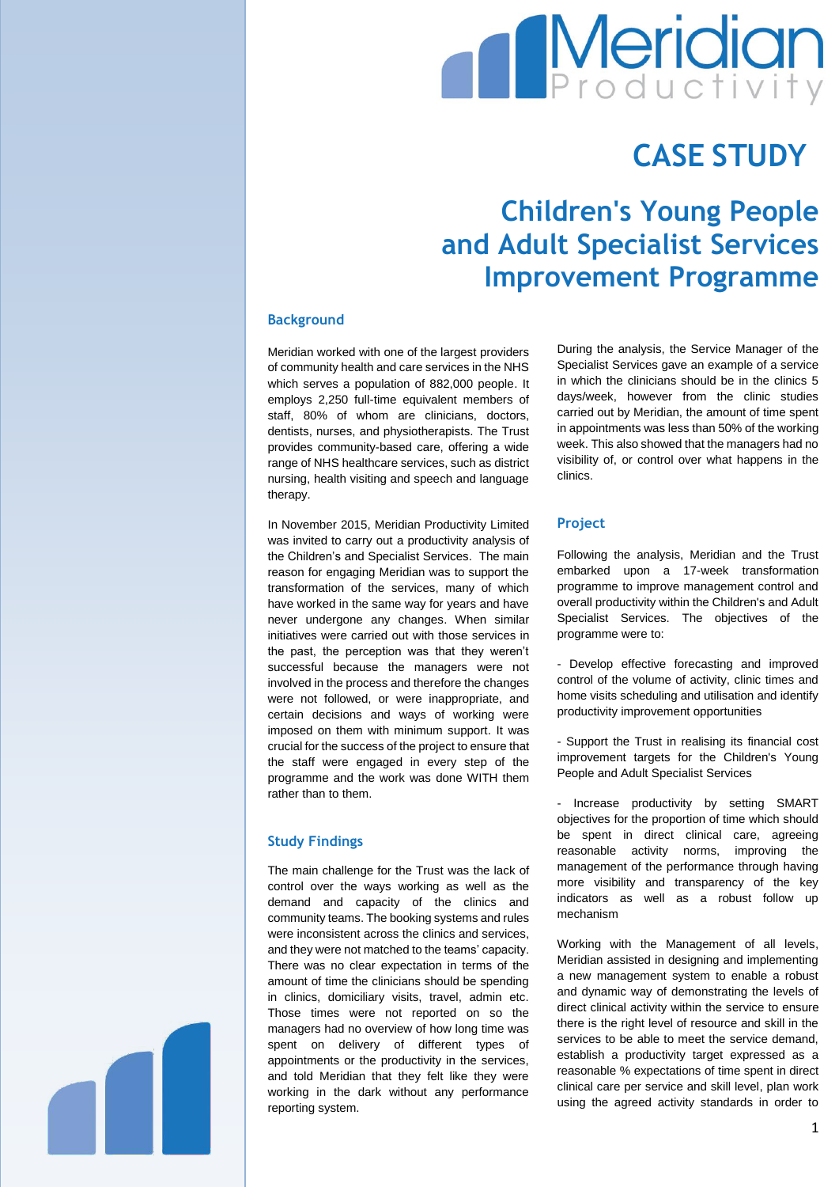# **Meridian**

## **CASE STUDY**

### **Children's Young People and Adult Specialist Services Improvement Programme**

#### **Background**

Meridian worked with one of the largest providers of community health and care services in the NHS which serves a population of 882,000 people. It employs 2,250 full-time equivalent members of staff, 80% of whom are clinicians, doctors, dentists, nurses, and physiotherapists. The Trust provides community-based care, offering a wide range of NHS healthcare services, such as district nursing, health visiting and speech and language therapy.

In November 2015, Meridian Productivity Limited was invited to carry out a productivity analysis of the Children's and Specialist Services. The main reason for engaging Meridian was to support the transformation of the services, many of which have worked in the same way for years and have never undergone any changes. When similar initiatives were carried out with those services in the past, the perception was that they weren't successful because the managers were not involved in the process and therefore the changes were not followed, or were inappropriate, and certain decisions and ways of working were imposed on them with minimum support. It was crucial for the success of the project to ensure that the staff were engaged in every step of the programme and the work was done WITH them rather than to them.

#### **Study Findings**

The main challenge for the Trust was the lack of control over the ways working as well as the demand and capacity of the clinics and community teams. The booking systems and rules were inconsistent across the clinics and services, and they were not matched to the teams' capacity. There was no clear expectation in terms of the amount of time the clinicians should be spending in clinics, domiciliary visits, travel, admin etc. Those times were not reported on so the managers had no overview of how long time was spent on delivery of different types of appointments or the productivity in the services, and told Meridian that they felt like they were working in the dark without any performance reporting system.

During the analysis, the Service Manager of the Specialist Services gave an example of a service in which the clinicians should be in the clinics 5 days/week, however from the clinic studies carried out by Meridian, the amount of time spent in appointments was less than 50% of the working week. This also showed that the managers had no visibility of, or control over what happens in the clinics.

#### **Project**

Following the analysis, Meridian and the Trust embarked upon a 17-week transformation programme to improve management control and overall productivity within the Children's and Adult Specialist Services. The objectives of the programme were to:

- Develop effective forecasting and improved control of the volume of activity, clinic times and home visits scheduling and utilisation and identify productivity improvement opportunities

- Support the Trust in realising its financial cost improvement targets for the Children's Young People and Adult Specialist Services

- Increase productivity by setting SMART objectives for the proportion of time which should be spent in direct clinical care, agreeing reasonable activity norms, improving the management of the performance through having more visibility and transparency of the key indicators as well as a robust follow up mechanism

Working with the Management of all levels, Meridian assisted in designing and implementing a new management system to enable a robust and dynamic way of demonstrating the levels of direct clinical activity within the service to ensure there is the right level of resource and skill in the services to be able to meet the service demand, establish a productivity target expressed as a reasonable % expectations of time spent in direct clinical care per service and skill level, plan work using the agreed activity standards in order to